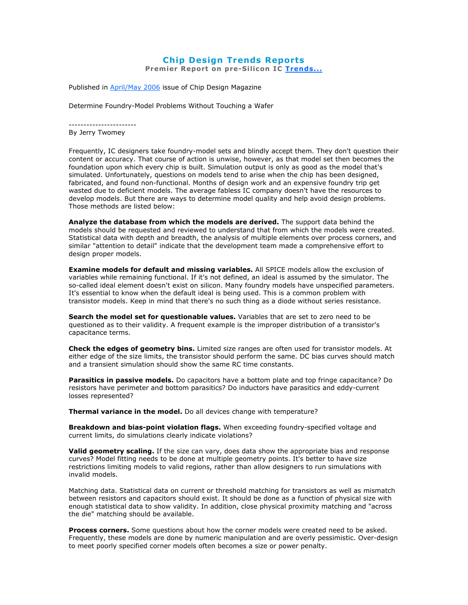## Chip Design Trends Reports

Premier Report on pre-Silicon IC Trends...

Published in **April/May 2006** issue of Chip Design Magazine

Determine Foundry-Model Problems Without Touching a Wafer

-----------------------

By Jerry Twomey

Frequently, IC designers take foundry-model sets and blindly accept them. They don't question their content or accuracy. That course of action is unwise, however, as that model set then becomes the foundation upon which every chip is built. Simulation output is only as good as the model that's simulated. Unfortunately, questions on models tend to arise when the chip has been designed, fabricated, and found non-functional. Months of design work and an expensive foundry trip get wasted due to deficient models. The average fabless IC company doesn't have the resources to develop models. But there are ways to determine model quality and help avoid design problems. Those methods are listed below:

Analyze the database from which the models are derived. The support data behind the models should be requested and reviewed to understand that from which the models were created. Statistical data with depth and breadth, the analysis of multiple elements over process corners, and similar "attention to detail" indicate that the development team made a comprehensive effort to design proper models.

Examine models for default and missing variables. All SPICE models allow the exclusion of variables while remaining functional. If it's not defined, an ideal is assumed by the simulator. The so-called ideal element doesn't exist on silicon. Many foundry models have unspecified parameters. It's essential to know when the default ideal is being used. This is a common problem with transistor models. Keep in mind that there's no such thing as a diode without series resistance.

Search the model set for questionable values. Variables that are set to zero need to be questioned as to their validity. A frequent example is the improper distribution of a transistor's capacitance terms.

Check the edges of geometry bins. Limited size ranges are often used for transistor models. At either edge of the size limits, the transistor should perform the same. DC bias curves should match and a transient simulation should show the same RC time constants.

Parasitics in passive models. Do capacitors have a bottom plate and top fringe capacitance? Do resistors have perimeter and bottom parasitics? Do inductors have parasitics and eddy-current losses represented?

Thermal variance in the model. Do all devices change with temperature?

Breakdown and bias-point violation flags. When exceeding foundry-specified voltage and current limits, do simulations clearly indicate violations?

Valid geometry scaling. If the size can vary, does data show the appropriate bias and response curves? Model fitting needs to be done at multiple geometry points. It's better to have size restrictions limiting models to valid regions, rather than allow designers to run simulations with invalid models.

Matching data. Statistical data on current or threshold matching for transistors as well as mismatch between resistors and capacitors should exist. It should be done as a function of physical size with enough statistical data to show validity. In addition, close physical proximity matching and "across the die" matching should be available.

Process corners. Some questions about how the corner models were created need to be asked. Frequently, these models are done by numeric manipulation and are overly pessimistic. Over-design to meet poorly specified corner models often becomes a size or power penalty.